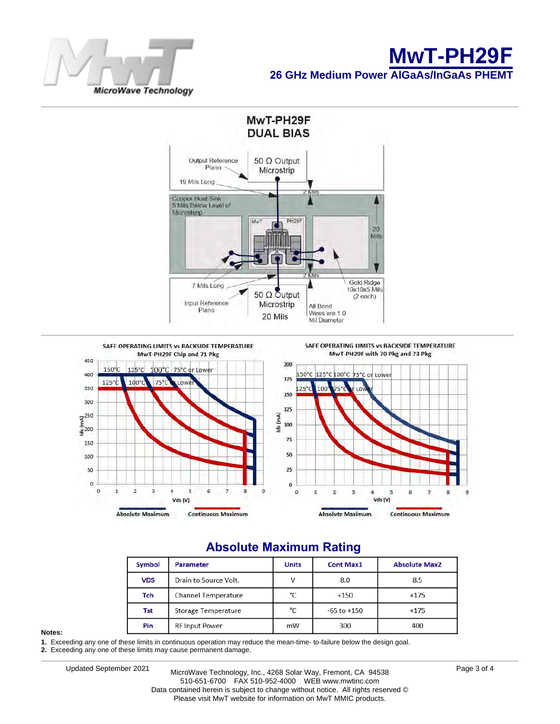





# **Absolute Maximum Rating**

| Symbol     | <b>Parameter</b>      | <b>Units</b> | <b>Cont Max1</b> | <b>Absolute Max2</b> |  |
|------------|-----------------------|--------------|------------------|----------------------|--|
| <b>VDS</b> | Drain to Source Volt. |              | 8.0              | 8.5                  |  |
| Tch        | Channel Temperature   | °C           | $+150$           | $+175$               |  |
| Tst        | Storage Temperature   | °C           | $-65$ to $+150$  | $+175$               |  |
| Pin        | <b>RF Input Power</b> | mW           | 300              | 400                  |  |

#### **Notes:**

**1.** Exceeding any one of these limits in continuous operation may reduce the mean-time- to-failure below the design goal.

**2.** Exceeding any one of these limits may cause permanent damage.